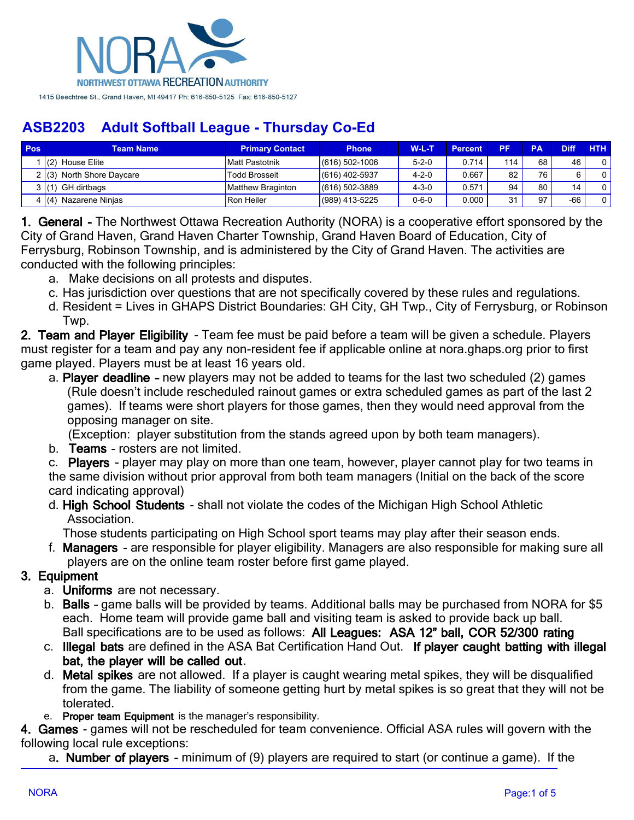

| Pos | Team Name                    | <b>Primary Contact</b> | <b>Phone</b>     | <b>W-L-T</b> | <b>Percent</b> | PF  | PA | <b>Diff</b> | <b>HTH</b> |
|-----|------------------------------|------------------------|------------------|--------------|----------------|-----|----|-------------|------------|
|     | (2)<br>House Elite           | <b>Matt Pastotnik</b>  | $(616)$ 502-1006 | $5 - 2 - 0$  | 0.714          | 114 | 68 | 46          |            |
|     | North Shore Daycare<br>2 (3) | Todd Brosseit          | $(616)$ 402-5937 | $4 - 2 - 0$  | 0.667          | 82  | 76 | G           |            |
|     | GH dirtbags<br>3(1)          | Matthew Braginton      | $(616)$ 502-3889 | $4 - 3 - 0$  | 0.571          | 94  | 80 | 14          |            |
|     | Nazarene Ninias<br>4 (4)     | Ron Heiler             | $(989)$ 413-5225 | $0 - 6 - 0$  | 0.000          | 31  | 97 | -66         |            |

**1. General -** The Northwest Ottawa Recreation Authority (NORA) is a cooperative effort sponsored by the City of Grand Haven, Grand Haven Charter Township, Grand Haven Board of Education, City of Ferrysburg, Robinson Township, and is administered by the City of Grand Haven. The activities are conducted with the following principles:

- a. Make decisions on all protests and disputes.
- c. Has jurisdiction over questions that are not specifically covered by these rules and regulations.
- d. Resident = Lives in GHAPS District Boundaries: GH City, GH Twp., City of Ferrysburg, or Robinson Twp.

**2. Team and Player Eligibility** - Team fee must be paid before a team will be given a schedule. Players must register for a team and pay any non-resident fee if applicable online at nora.ghaps.org prior to first game played. Players must be at least 16 years old.

a. **Player deadline –** new players may not be added to teams for the last two scheduled (2) games (Rule doesn't include rescheduled rainout games or extra scheduled games as part of the last 2 games). If teams were short players for those games, then they would need approval from the opposing manager on site.

(Exception: player substitution from the stands agreed upon by both team managers).

b. **Teams** - rosters are not limited.

c. **Players** - player may play on more than one team, however, player cannot play for two teams in the same division without prior approval from both team managers (Initial on the back of the score card indicating approval)

d. **High School Students** - shall not violate the codes of the Michigan High School Athletic Association.

Those students participating on High School sport teams may play after their season ends.

f. **Managers** - are responsible for player eligibility. Managers are also responsible for making sure all players are on the online team roster before first game played.

#### **3. Equipment**

- a. **Uniforms** are not necessary.
- b. **Balls** game balls will be provided by teams. Additional balls may be purchased from NORA for \$5 each. Home team will provide game ball and visiting team is asked to provide back up ball. Ball specifications are to be used as follows: **All Leagues: ASA 12" ball, COR 52/300 rating**
- c. **Illegal bats** are defined in the ASA Bat Certification Hand Out. **If player caught batting with illegal bat, the player will be called out**.
- d. **Metal spikes** are not allowed. If a player is caught wearing metal spikes, they will be disqualified from the game. The liability of someone getting hurt by metal spikes is so great that they will not be tolerated.
- e. **Proper team Equipment** is the manager's responsibility.

**4. Games** - games will not be rescheduled for team convenience. Official ASA rules will govern with the following local rule exceptions:

a**. Number of players** - minimum of (9) players are required to start (or continue a game). If the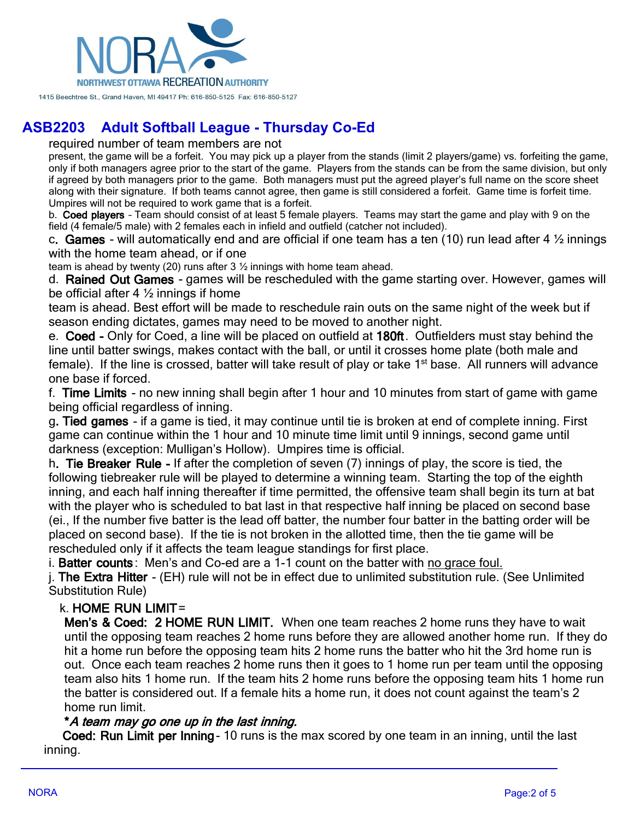

#### required number of team members are not

present, the game will be a forfeit. You may pick up a player from the stands (limit 2 players/game) vs. forfeiting the game, only if both managers agree prior to the start of the game. Players from the stands can be from the same division, but only if agreed by both managers prior to the game. Both managers must put the agreed player's full name on the score sheet along with their signature. If both teams cannot agree, then game is still considered a forfeit. Game time is forfeit time. Umpires will not be required to work game that is a forfeit.

b. **Coed players** – Team should consist of at least 5 female players. Teams may start the game and play with 9 on the field (4 female/5 male) with 2 females each in infield and outfield (catcher not included).

c**. Games** - will automatically end and are official if one team has a ten (10) run lead after 4 ½ innings with the home team ahead, or if one

team is ahead by twenty (20) runs after 3 ½ innings with home team ahead.

d. **Rained Out Games** - games will be rescheduled with the game starting over. However, games will be official after  $4\frac{1}{2}$  innings if home

team is ahead. Best effort will be made to reschedule rain outs on the same night of the week but if season ending dictates, games may need to be moved to another night.

e. **Coed -** Only for Coed, a line will be placed on outfield at **180ft**. Outfielders must stay behind the line until batter swings, makes contact with the ball, or until it crosses home plate (both male and female). If the line is crossed, batter will take result of play or take 1<sup>st</sup> base. All runners will advance one base if forced.

f. **Time Limits** - no new inning shall begin after 1 hour and 10 minutes from start of game with game being official regardless of inning.

g**. Tied games** - if a game is tied, it may continue until tie is broken at end of complete inning. First game can continue within the 1 hour and 10 minute time limit until 9 innings, second game until darkness (exception: Mulligan's Hollow). Umpires time is official.

h**. Tie Breaker Rule -** If after the completion of seven (7) innings of play, the score is tied, the following tiebreaker rule will be played to determine a winning team. Starting the top of the eighth inning, and each half inning thereafter if time permitted, the offensive team shall begin its turn at bat with the player who is scheduled to bat last in that respective half inning be placed on second base (ei., If the number five batter is the lead off batter, the number four batter in the batting order will be placed on second base). If the tie is not broken in the allotted time, then the tie game will be rescheduled only if it affects the team league standings for first place.

i. **Batter counts** : Men's and Co-ed are a 1-1 count on the batter with no grace foul.

j. **The Extra Hitter** - (EH) rule will not be in effect due to unlimited substitution rule. (See Unlimited Substitution Rule)

#### k. **HOME RUN LIMIT**=

**Men's & Coed: 2 HOME RUN LIMIT.** When one team reaches 2 home runs they have to wait until the opposing team reaches 2 home runs before they are allowed another home run. If they do hit a home run before the opposing team hits 2 home runs the batter who hit the 3rd home run is out. Once each team reaches 2 home runs then it goes to 1 home run per team until the opposing team also hits 1 home run. If the team hits 2 home runs before the opposing team hits 1 home run the batter is considered out. If a female hits a home run, it does not count against the team's 2 home run limit.

#### **\****A team may go one up in the last inning.*

**Coed: Run Limit per Inning**- 10 runs is the max scored by one team in an inning, until the last inning.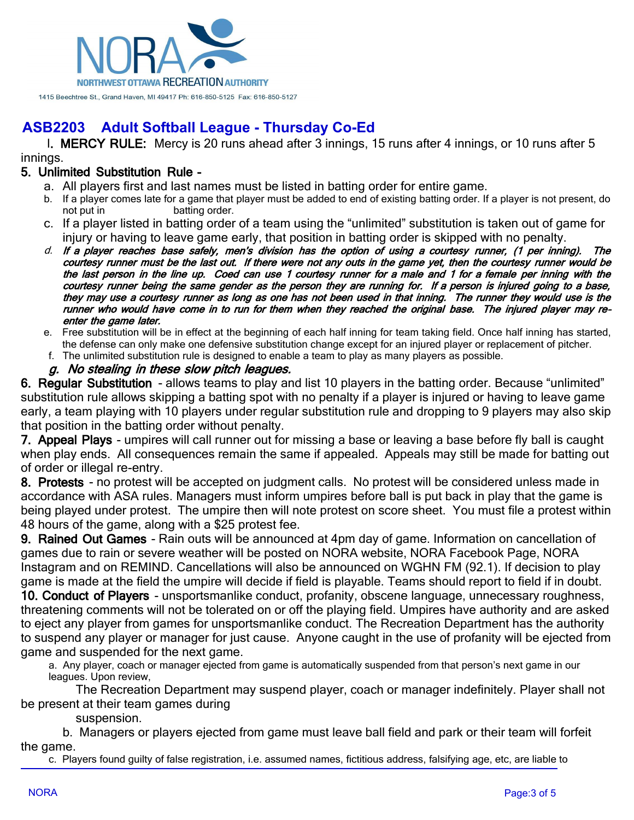

l**. MERCY RULE:** Mercy is 20 runs ahead after 3 innings, 15 runs after 4 innings, or 10 runs after 5 innings.

#### **5. Unlimited Substitution Rule -**

- a. All players first and last names must be listed in batting order for entire game.
- b. If a player comes late for a game that player must be added to end of existing batting order. If a player is not present, do not put in batting order.
- c. If a player listed in batting order of a team using the "unlimited" substitution is taken out of game for injury or having to leave game early, that position in batting order is skipped with no penalty.
- *d. If a player reaches base safely, men's division has the option of using a courtesy runner, (1 per inning). The courtesy runner must be the last out. If there were not any outs in the game yet, then the courtesy runner would be the last person in the line up. Coed can use 1 courtesy runner for a male and 1 for a female per inning with the courtesy runner being the same gender as the person they are running for. If a person is injured going to a base, they may use a courtesy runner as long as one has not been used in that inning. The runner they would use is the runner who would have come in to run for them when they reached the original base. The injured player may reenter the game later.*
- e. Free substitution will be in effect at the beginning of each half inning for team taking field. Once half inning has started, the defense can only make one defensive substitution change except for an injured player or replacement of pitcher.
- f. The unlimited substitution rule is designed to enable a team to play as many players as possible.

#### *g. No stealing in these slow pitch leagues.*

**6. Regular Substitution** - allows teams to play and list 10 players in the batting order. Because "unlimited" substitution rule allows skipping a batting spot with no penalty if a player is injured or having to leave game early, a team playing with 10 players under regular substitution rule and dropping to 9 players may also skip that position in the batting order without penalty.

**7. Appeal Plays** - umpires will call runner out for missing a base or leaving a base before fly ball is caught when play ends. All consequences remain the same if appealed. Appeals may still be made for batting out of order or illegal re-entry.

**8. Protests** - no protest will be accepted on judgment calls. No protest will be considered unless made in accordance with ASA rules. Managers must inform umpires before ball is put back in play that the game is being played under protest. The umpire then will note protest on score sheet. You must file a protest within 48 hours of the game, along with a \$25 protest fee.

**9. Rained Out Games** - Rain outs will be announced at 4pm day of game. Information on cancellation of games due to rain or severe weather will be posted on NORA website, NORA Facebook Page, NORA Instagram and on REMIND. Cancellations will also be announced on WGHN FM (92.1). If decision to play game is made at the field the umpire will decide if field is playable. Teams should report to field if in doubt. **10. Conduct of Players** - unsportsmanlike conduct, profanity, obscene language, unnecessary roughness, threatening comments will not be tolerated on or off the playing field. Umpires have authority and are asked to eject any player from games for unsportsmanlike conduct. The Recreation Department has the authority to suspend any player or manager for just cause. Anyone caught in the use of profanity will be ejected from game and suspended for the next game.

a. Any player, coach or manager ejected from game is automatically suspended from that person's next game in our leagues. Upon review,

 The Recreation Department may suspend player, coach or manager indefinitely. Player shall not be present at their team games during

suspension.

 b. Managers or players ejected from game must leave ball field and park or their team will forfeit the game.

c. Players found guilty of false registration, i.e. assumed names, fictitious address, falsifying age, etc, are liable to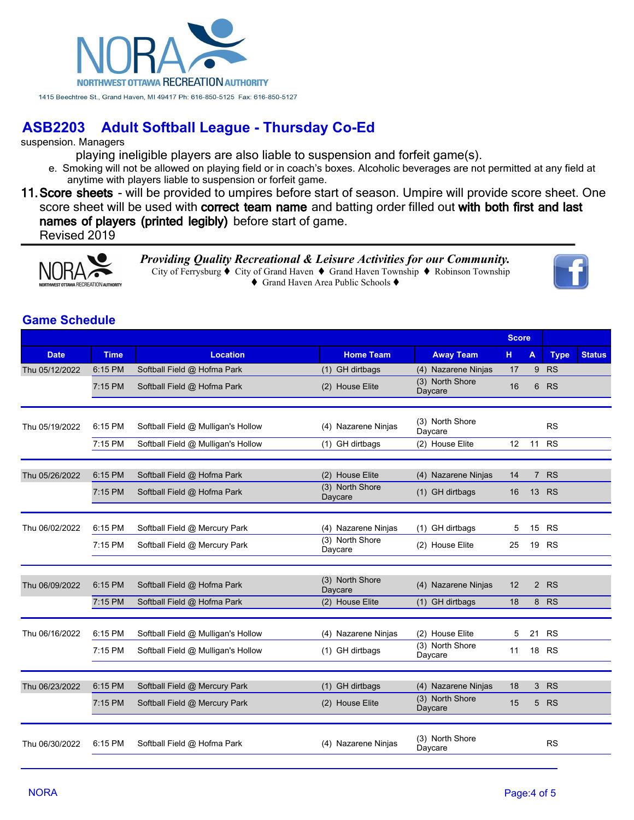

suspension. Managers

- playing ineligible players are also liable to suspension and forfeit game(s).
- e. Smoking will not be allowed on playing field or in coach's boxes. Alcoholic beverages are not permitted at any field at anytime with players liable to suspension or forfeit game.
- **11.Score sheets** will be provided to umpires before start of season. Umpire will provide score sheet. One score sheet will be used with **correct team name** and batting order filled out **with both first and last names of players (printed legibly)** before start of game. Revised 2019



*Providing Quality Recreational & Leisure Activities for our Community.* City of Ferrysburg  $\blacklozenge$  City of Grand Haven  $\blacklozenge$  Grand Haven Township  $\blacklozenge$  Robinson Township ◆ Grand Haven Area Public Schools ◆



#### **Game Schedule**

|                |             |                                    |                            |                            | <b>Score</b> |                |             |               |
|----------------|-------------|------------------------------------|----------------------------|----------------------------|--------------|----------------|-------------|---------------|
| <b>Date</b>    | <b>Time</b> | <b>Location</b>                    | <b>Home Team</b>           | <b>Away Team</b>           | н.           | A              | <b>Type</b> | <b>Status</b> |
| Thu 05/12/2022 | 6:15 PM     | Softball Field @ Hofma Park        | (1) GH dirtbags            | (4) Nazarene Ninjas        | 17           | 9              | <b>RS</b>   |               |
|                | 7:15 PM     | Softball Field @ Hofma Park        | (2) House Elite            | (3) North Shore<br>Daycare | 16           | 6              | <b>RS</b>   |               |
| Thu 05/19/2022 | 6:15 PM     | Softball Field @ Mulligan's Hollow | (4) Nazarene Ninjas        | (3) North Shore<br>Daycare |              |                | <b>RS</b>   |               |
|                | 7:15 PM     | Softball Field @ Mulligan's Hollow | (1) GH dirtbags            | (2) House Elite            | 12           | 11             | <b>RS</b>   |               |
| Thu 05/26/2022 | 6:15 PM     | Softball Field @ Hofma Park        | (2) House Elite            | (4) Nazarene Ninjas        | 14           | $\overline{7}$ | <b>RS</b>   |               |
|                | 7:15 PM     | Softball Field @ Hofma Park        | (3) North Shore<br>Daycare | (1) GH dirtbags            | 16           | 13             | <b>RS</b>   |               |
|                |             |                                    |                            |                            |              |                |             |               |
| Thu 06/02/2022 | 6:15 PM     | Softball Field @ Mercury Park      | (4) Nazarene Ninjas        | (1) GH dirtbags            | 5            |                | 15 RS       |               |
|                | 7:15 PM     | Softball Field @ Mercury Park      | (3) North Shore<br>Daycare | (2) House Elite            | 25           |                | 19 RS       |               |
|                |             |                                    |                            |                            |              |                |             |               |
| Thu 06/09/2022 | 6:15 PM     | Softball Field @ Hofma Park        | (3) North Shore<br>Daycare | (4) Nazarene Ninjas        | 12           | $2^{\circ}$    | <b>RS</b>   |               |
|                | 7:15 PM     | Softball Field @ Hofma Park        | (2) House Elite            | (1) GH dirtbags            | 18           |                | 8 RS        |               |
| Thu 06/16/2022 | 6:15 PM     | Softball Field @ Mulligan's Hollow | (4) Nazarene Ninjas        | (2) House Elite            | 5            | 21             | <b>RS</b>   |               |
|                | 7:15 PM     | Softball Field @ Mulligan's Hollow | (1) GH dirtbags            | (3) North Shore<br>Daycare | 11           | 18             | <b>RS</b>   |               |
|                |             |                                    |                            |                            |              |                |             |               |
| Thu 06/23/2022 | 6:15 PM     | Softball Field @ Mercury Park      | (1) GH dirtbags            | (4) Nazarene Ninjas        | 18           | 3              | <b>RS</b>   |               |
|                | 7:15 PM     | Softball Field @ Mercury Park      | (2) House Elite            | (3) North Shore<br>Daycare | 15           |                | 5 RS        |               |
|                |             |                                    |                            |                            |              |                |             |               |
| Thu 06/30/2022 | 6:15 PM     | Softball Field @ Hofma Park        | (4) Nazarene Ninjas        | (3) North Shore<br>Daycare |              |                | <b>RS</b>   |               |
|                |             |                                    |                            |                            |              |                |             |               |